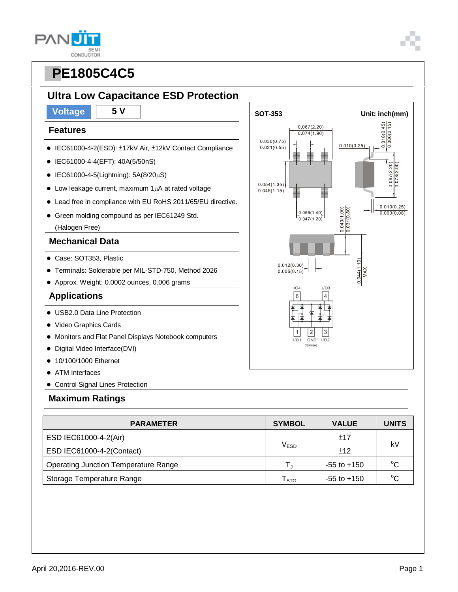### **Ultra Low Capacitance ESD Protection**

#### **Features**

- IEC61000-4-2(ESD): ±17kV Air, ±12kV Contact Compliance
- IEC61000-4-4(EFT): 40A(5/50nS)
- $\bullet$  IEC61000-4-5(Lightning): 5A(8/20µS)
- $\bullet$  Low leakage current, maximum 1 $\mu$ A at rated voltage
- Lead free in compliance with EU RoHS 2011/65/EU directive.
- Green molding compound as per IEC61249 Std.
	- (Halogen Free)

#### **Mechanical Data**

- Case: SOT353, Plastic
- Terminals: Solderable per MIL-STD-750, Method 2026
- Approx. Weight: 0.0002 ounces, 0.006 grams

#### **Applications**

- USB2.0 Data Line Protection
- Video Graphics Cards
- Monitors and Flat Panel Displays Notebook computers
- Digital Video Interface(DVI)
- 10/100/1000 Ethernet
- ATM Interfaces
- Control Signal Lines Protection

#### **Maximum Ratings**

| <b>PARAMETER</b>                            | <b>SYMBOL</b>           | <b>VALUE</b>    | <b>UNITS</b> |  |
|---------------------------------------------|-------------------------|-----------------|--------------|--|
| ESD IEC61000-4-2(Air)                       |                         | ±17             | kV           |  |
| ESD IEC61000-4-2(Contact)                   | V <sub>ESD</sub>        | ±12             |              |  |
| <b>Operating Junction Temperature Range</b> | $\mathsf{T}_\mathsf{J}$ | $-55$ to $+150$ | $^{\circ}C$  |  |
| Storage Temperature Range                   | ${\sf T}_{\text{STG}}$  | $-55$ to $+150$ | $\sim$       |  |



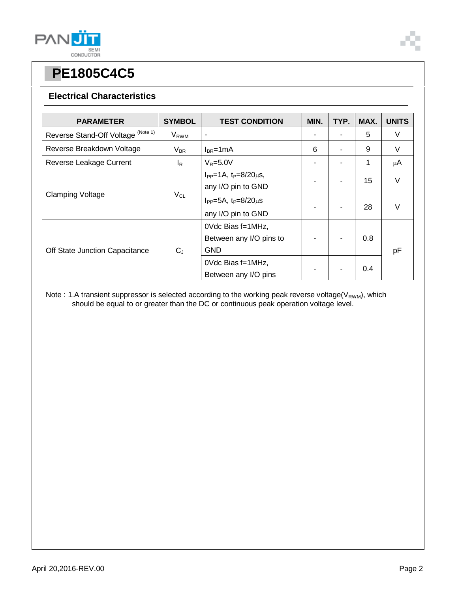

#### **Electrical Characteristics**

| <b>PARAMETER</b>                   | <b>SYMBOL</b>           | <b>TEST CONDITION</b>                                      | MIN. | TYP. | MAX. | <b>UNITS</b> |
|------------------------------------|-------------------------|------------------------------------------------------------|------|------|------|--------------|
| Reverse Stand-Off Voltage (Note 1) | <b>V</b> <sub>RWM</sub> | ۰                                                          |      |      | 5    | V            |
| Reverse Breakdown Voltage          | $V_{BR}$                | $I_{BR}$ =1mA                                              | 6    |      | 9    | V            |
| Reverse Leakage Current            | $I_R$                   | $V_R = 5.0V$                                               |      |      | 1    | μA           |
| <b>Clamping Voltage</b>            | $V_{CL}$                | $I_{PP} = 1A$ , $t_P = 8/20 \mu s$ ,<br>any I/O pin to GND |      |      | 15   | V            |
|                                    |                         | $I_{PP} = 5A$ , $t_P = 8/20 \mu s$<br>any I/O pin to GND   |      |      | 28   | V            |
| Off State Junction Capacitance     | $C_J$                   | 0Vdc Bias f=1MHz,<br>Between any I/O pins to<br><b>GND</b> |      |      | 0.8  | pF           |
|                                    |                         | 0Vdc Bias f=1MHz,<br>Between any I/O pins                  |      |      | 0.4  |              |

Note : 1.A transient suppressor is selected according to the working peak reverse voltage(V<sub>RWM</sub>), which should be equal to or greater than the DC or continuous peak operation voltage level.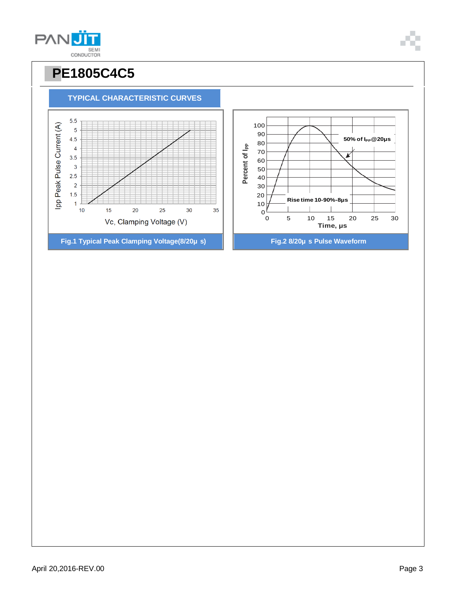

30

35

### **50% of IP P@20μs**K 20 **Rise time 10-90%-8μs** 10  $0<sup>L</sup><sub>0</sub>$ 0 5 10 15 20 25 30 **Time, μs Fig.1 Typical Peak Clamping Voltage(8/20μ s) Fig.2 8/20μ s Pulse Waveform**

# **PE1805C4C5**

**TYPICAL CHARACTERISTIC CURVES**

 $20$ 

Vc, Clamping Voltage (V)

25

Ipp Peak Pulse Current (A)

 $\overline{1}$  $10$ 

 $15$ 

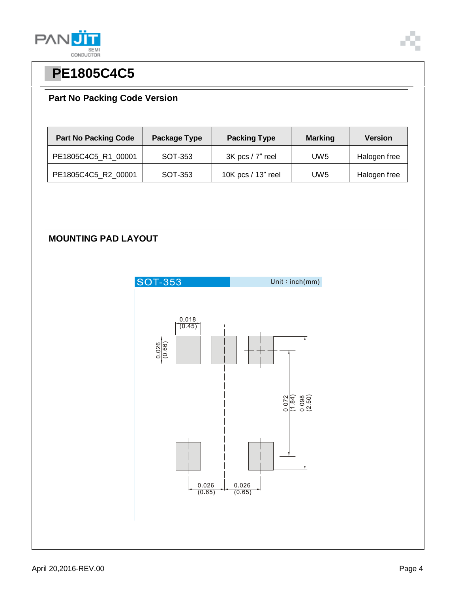

### **Part No Packing Code Version**

| <b>Part No Packing Code</b> | Package Type | <b>Packing Type</b> | <b>Marking</b>  | <b>Version</b> |
|-----------------------------|--------------|---------------------|-----------------|----------------|
| PE1805C4C5 R1 00001         | SOT-353      | 3K pcs / 7" reel    | UW <sub>5</sub> | Halogen free   |
| PE1805C4C5_R2_00001         | SOT-353      | 10K pcs / 13" reel  | UW <sub>5</sub> | Halogen free   |

### **MOUNTING PAD LAYOUT**